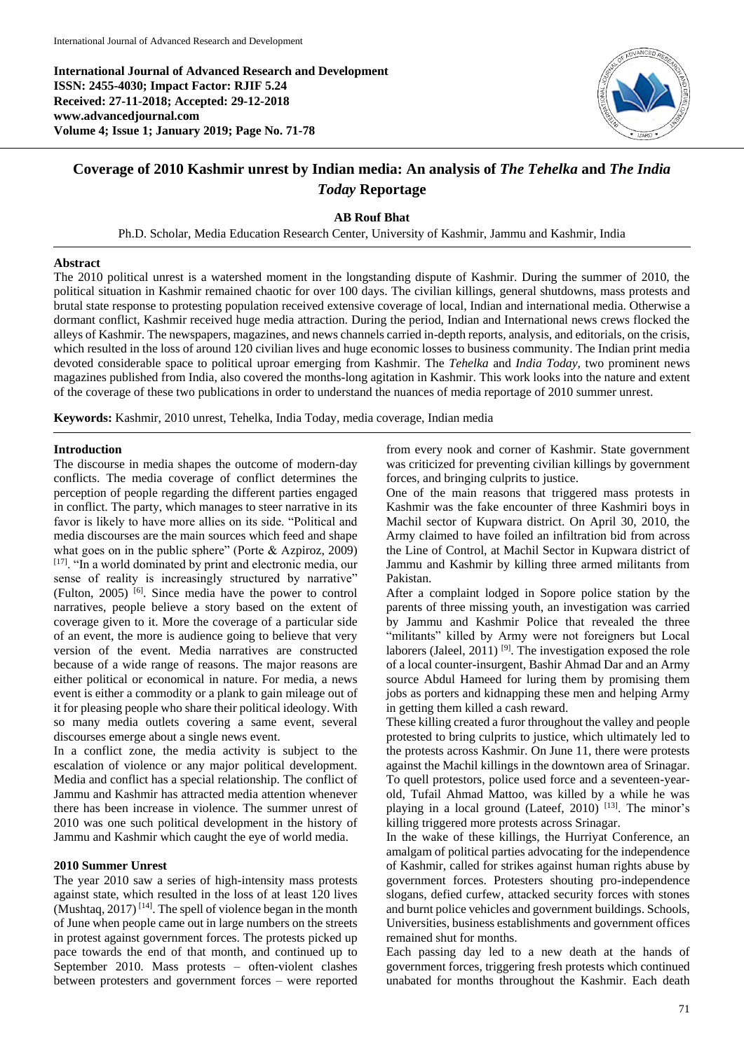**International Journal of Advanced Research and Development ISSN: 2455-4030; Impact Factor: RJIF 5.24 Received: 27-11-2018; Accepted: 29-12-2018 www.advancedjournal.com Volume 4; Issue 1; January 2019; Page No. 71-78**



# **Coverage of 2010 Kashmir unrest by Indian media: An analysis of** *The Tehelka* **and** *The India Today* **Reportage**

#### **AB Rouf Bhat**

Ph.D. Scholar, Media Education Research Center, University of Kashmir, Jammu and Kashmir, India

#### **Abstract**

The 2010 political unrest is a watershed moment in the longstanding dispute of Kashmir. During the summer of 2010, the political situation in Kashmir remained chaotic for over 100 days. The civilian killings, general shutdowns, mass protests and brutal state response to protesting population received extensive coverage of local, Indian and international media. Otherwise a dormant conflict, Kashmir received huge media attraction. During the period, Indian and International news crews flocked the alleys of Kashmir. The newspapers, magazines, and news channels carried in-depth reports, analysis, and editorials, on the crisis, which resulted in the loss of around 120 civilian lives and huge economic losses to business community. The Indian print media devoted considerable space to political uproar emerging from Kashmir. The *Tehelka* and *India Today,* two prominent news magazines published from India, also covered the months-long agitation in Kashmir. This work looks into the nature and extent of the coverage of these two publications in order to understand the nuances of media reportage of 2010 summer unrest.

**Keywords:** Kashmir, 2010 unrest, Tehelka, India Today, media coverage, Indian media

#### **Introduction**

The discourse in media shapes the outcome of modern-day conflicts. The media coverage of conflict determines the perception of people regarding the different parties engaged in conflict. The party, which manages to steer narrative in its favor is likely to have more allies on its side. "Political and media discourses are the main sources which feed and shape what goes on in the public sphere" (Porte & Azpiroz, 2009) [17]. "In a world dominated by print and electronic media, our sense of reality is increasingly structured by narrative" (Fulton, 2005) [6]. Since media have the power to control narratives, people believe a story based on the extent of coverage given to it. More the coverage of a particular side of an event, the more is audience going to believe that very version of the event. Media narratives are constructed because of a wide range of reasons. The major reasons are either political or economical in nature. For media, a news event is either a commodity or a plank to gain mileage out of it for pleasing people who share their political ideology. With so many media outlets covering a same event, several discourses emerge about a single news event.

In a conflict zone, the media activity is subject to the escalation of violence or any major political development. Media and conflict has a special relationship. The conflict of Jammu and Kashmir has attracted media attention whenever there has been increase in violence. The summer unrest of 2010 was one such political development in the history of Jammu and Kashmir which caught the eye of world media.

#### **2010 Summer Unrest**

The year 2010 saw a series of high-intensity mass protests against state, which resulted in the loss of at least 120 lives (Mushtaq,  $2017$ )<sup>[14]</sup>. The spell of violence began in the month of June when people came out in large numbers on the streets in protest against government forces. The protests picked up pace towards the end of that month, and continued up to September 2010. Mass protests – often-violent clashes between protesters and government forces – were reported from every nook and corner of Kashmir. State government was criticized for preventing civilian killings by government forces, and bringing culprits to justice.

One of the main reasons that triggered mass protests in Kashmir was the fake encounter of three Kashmiri boys in Machil sector of Kupwara district. On April 30, 2010, the Army claimed to have foiled an infiltration bid from across the Line of Control, at Machil Sector in Kupwara district of Jammu and Kashmir by killing three armed militants from Pakistan.

After a complaint lodged in Sopore police station by the parents of three missing youth, an investigation was carried by Jammu and Kashmir Police that revealed the three "militants" killed by Army were not foreigners but Local laborers (Jaleel, 2011) <sup>[9]</sup>. The investigation exposed the role of a local counter-insurgent, Bashir Ahmad Dar and an Army source Abdul Hameed for luring them by promising them jobs as porters and kidnapping these men and helping Army in getting them killed a cash reward.

These killing created a furor throughout the valley and people protested to bring culprits to justice, which ultimately led to the protests across Kashmir. On June 11, there were protests against the Machil killings in the downtown area of Srinagar. To quell protestors, police used force and a seventeen-yearold, Tufail Ahmad Mattoo, was killed by a while he was playing in a local ground (Lateef, 2010)<sup>[13]</sup>. The minor's killing triggered more protests across Srinagar.

In the wake of these killings, the Hurriyat Conference, an amalgam of political parties advocating for the independence of Kashmir, called for strikes against human rights abuse by government forces. Protesters shouting pro-independence slogans, defied curfew, attacked security forces with stones and burnt police vehicles and government buildings. Schools, Universities, business establishments and government offices remained shut for months.

Each passing day led to a new death at the hands of government forces, triggering fresh protests which continued unabated for months throughout the Kashmir. Each death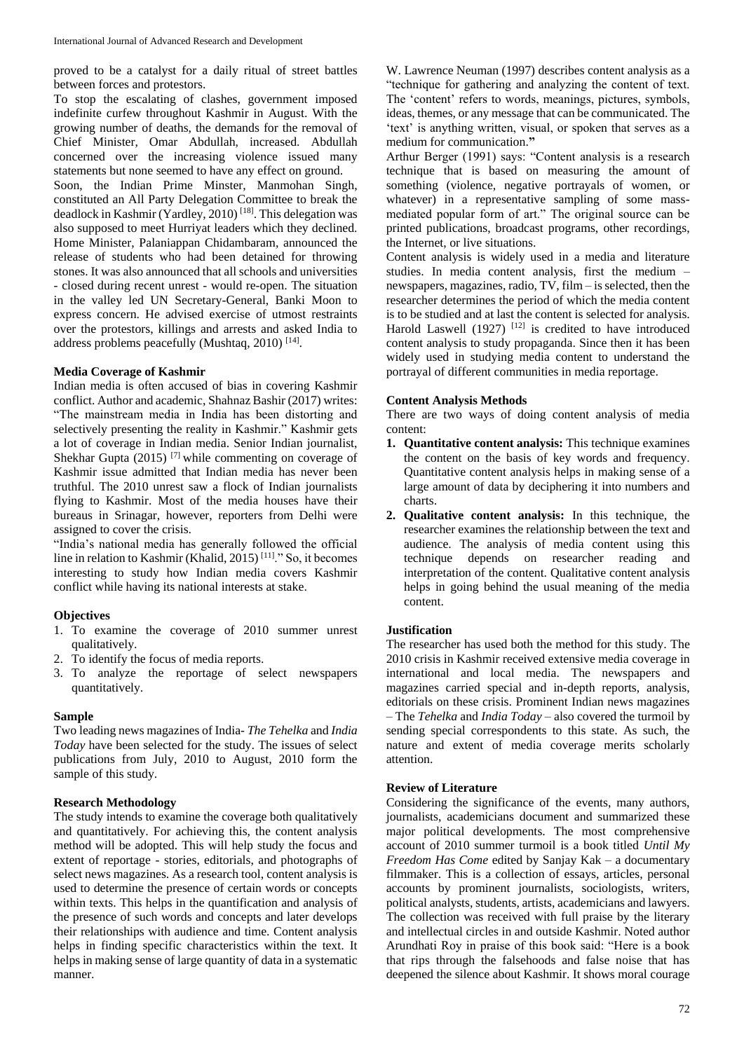proved to be a catalyst for a daily ritual of street battles between forces and protestors.

To stop the escalating of clashes, government imposed indefinite curfew throughout Kashmir in August. With the growing number of deaths, the demands for the removal of Chief Minister, Omar Abdullah, increased. Abdullah concerned over the increasing violence issued many statements but none seemed to have any effect on ground. Soon, the Indian Prime Minster, Manmohan Singh, constituted an All Party Delegation Committee to break the deadlock in Kashmir (Yardley, 2010)<sup>[18]</sup>. This delegation was also supposed to meet Hurriyat leaders which they declined. Home Minister, Palaniappan Chidambaram, announced the release of students who had been detained for throwing stones. It was also announced that all schools and universities - closed during recent unrest - would re-open. The situation in the valley led UN Secretary-General, Banki Moon to express concern. He advised exercise of utmost restraints over the protestors, killings and arrests and asked India to address problems peacefully (Mushtaq, 2010)<sup>[14]</sup>.

#### **Media Coverage of Kashmir**

Indian media is often accused of bias in covering Kashmir conflict. Author and academic, Shahnaz Bashir (2017) writes: "The mainstream media in India has been distorting and selectively presenting the reality in Kashmir." Kashmir gets a lot of coverage in Indian media. Senior Indian journalist, Shekhar Gupta  $(2015)$ <sup>[7]</sup> while commenting on coverage of Kashmir issue admitted that Indian media has never been truthful. The 2010 unrest saw a flock of Indian journalists flying to Kashmir. Most of the media houses have their bureaus in Srinagar, however, reporters from Delhi were assigned to cover the crisis.

"India's national media has generally followed the official line in relation to Kashmir (Khalid, 2015) [11]." So, it becomes interesting to study how Indian media covers Kashmir conflict while having its national interests at stake.

#### **Objectives**

- 1. To examine the coverage of 2010 summer unrest qualitatively.
- 2. To identify the focus of media reports.
- 3. To analyze the reportage of select newspapers quantitatively.

#### **Sample**

Two leading news magazines of India- *The Tehelka* and *India Today* have been selected for the study. The issues of select publications from July, 2010 to August, 2010 form the sample of this study.

#### **Research Methodology**

The study intends to examine the coverage both qualitatively and quantitatively. For achieving this, the content analysis method will be adopted. This will help study the focus and extent of reportage - stories, editorials, and photographs of select news magazines. As a research tool, content analysis is used to determine the presence of certain words or concepts within texts. This helps in the quantification and analysis of the presence of such words and concepts and later develops their relationships with audience and time. Content analysis helps in finding specific characteristics within the text. It helps in making sense of large quantity of data in a systematic manner.

W. Lawrence Neuman (1997) describes content analysis as a "technique for gathering and analyzing the content of text. The 'content' refers to words, meanings, pictures, symbols, ideas, themes, or any message that can be communicated. The 'text' is anything written, visual, or spoken that serves as a medium for communication.**"**

Arthur Berger (1991) says: "Content analysis is a research technique that is based on measuring the amount of something (violence, negative portrayals of women, or whatever) in a representative sampling of some massmediated popular form of art." The original source can be printed publications, broadcast programs, other recordings, the Internet, or live situations.

Content analysis is widely used in a media and literature studies. In media content analysis, first the medium – newspapers, magazines, radio, TV, film – is selected, then the researcher determines the period of which the media content is to be studied and at last the content is selected for analysis. Harold Laswell  $(1927)$ <sup>[12]</sup> is credited to have introduced content analysis to study propaganda. Since then it has been widely used in studying media content to understand the portrayal of different communities in media reportage.

#### **Content Analysis Methods**

There are two ways of doing content analysis of media content:

- **1. Quantitative content analysis:** This technique examines the content on the basis of key words and frequency. Quantitative content analysis helps in making sense of a large amount of data by deciphering it into numbers and charts.
- **2. Qualitative content analysis:** In this technique, the researcher examines the relationship between the text and audience. The analysis of media content using this technique depends on researcher reading and interpretation of the content. Qualitative content analysis helps in going behind the usual meaning of the media content.

#### **Justification**

The researcher has used both the method for this study. The 2010 crisis in Kashmir received extensive media coverage in international and local media. The newspapers and magazines carried special and in-depth reports, analysis, editorials on these crisis. Prominent Indian news magazines – The *Tehelka* and *India Today –* also covered the turmoil by sending special correspondents to this state. As such, the nature and extent of media coverage merits scholarly attention.

#### **Review of Literature**

Considering the significance of the events, many authors, journalists, academicians document and summarized these major political developments. The most comprehensive account of 2010 summer turmoil is a book titled *Until My Freedom Has Come* edited by Sanjay Kak – a documentary filmmaker. This is a collection of essays, articles, personal accounts by prominent journalists, sociologists, writers, political analysts, students, artists, academicians and lawyers. The collection was received with full praise by the literary and intellectual circles in and outside Kashmir. Noted author Arundhati Roy in praise of this book said: "Here is a book that rips through the falsehoods and false noise that has deepened the silence about Kashmir. It shows moral courage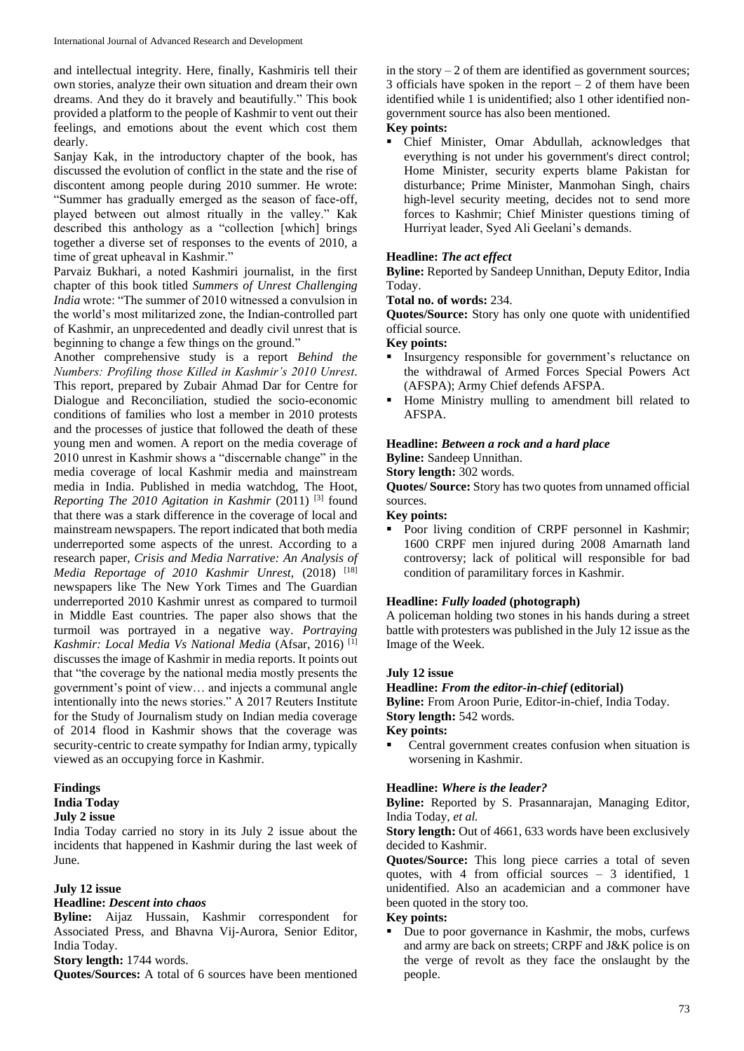and intellectual integrity. Here, finally, Kashmiris tell their own stories, analyze their own situation and dream their own dreams. And they do it bravely and beautifully." This book provided a platform to the people of Kashmir to vent out their feelings, and emotions about the event which cost them dearly.

Sanjay Kak, in the introductory chapter of the book, has discussed the evolution of conflict in the state and the rise of discontent among people during 2010 summer. He wrote: "Summer has gradually emerged as the season of face-off, played between out almost ritually in the valley." Kak described this anthology as a "collection [which] brings together a diverse set of responses to the events of 2010, a time of great upheaval in Kashmir."

Parvaiz Bukhari, a noted Kashmiri journalist, in the first chapter of this book titled *Summers of Unrest Challenging India* wrote: "The summer of 2010 witnessed a convulsion in the world's most militarized zone, the Indian-controlled part of Kashmir, an unprecedented and deadly civil unrest that is beginning to change a few things on the ground."

Another comprehensive study is a report *Behind the Numbers: Profiling those Killed in Kashmir's 2010 Unrest*. This report, prepared by Zubair Ahmad Dar for Centre for Dialogue and Reconciliation, studied the socio-economic conditions of families who lost a member in 2010 protests and the processes of justice that followed the death of these young men and women. A report on the media coverage of 2010 unrest in Kashmir shows a "discernable change" in the media coverage of local Kashmir media and mainstream media in India. Published in media watchdog, The Hoot, *Reporting The 2010 Agitation in Kashmir* (2011) <sup>[3]</sup> found that there was a stark difference in the coverage of local and mainstream newspapers. The report indicated that both media underreported some aspects of the unrest. According to a research paper, *Crisis and Media Narrative: An Analysis of Media Reportage of 2010 Kashmir Unrest, (2018)* [18] newspapers like The New York Times and The Guardian underreported 2010 Kashmir unrest as compared to turmoil in Middle East countries. The paper also shows that the turmoil was portrayed in a negative way. *Portraying Kashmir: Local Media Vs National Media* (Afsar, 2016) [1] discusses the image of Kashmir in media reports. It points out that "the coverage by the national media mostly presents the government's point of view… and injects a communal angle intentionally into the news stories." A 2017 Reuters Institute for the Study of Journalism study on Indian media coverage of 2014 flood in Kashmir shows that the coverage was security-centric to create sympathy for Indian army, typically viewed as an occupying force in Kashmir.

# **Findings**

# **India Today**

**July 2 issue**

India Today carried no story in its July 2 issue about the incidents that happened in Kashmir during the last week of June.

#### **July 12 issue**

#### **Headline:** *Descent into chaos*

**Byline:** Aijaz Hussain, Kashmir correspondent for Associated Press, and Bhavna Vij-Aurora, Senior Editor, India Today.

**Story length:** 1744 words.

**Quotes/Sources:** A total of 6 sources have been mentioned

in the story  $-2$  of them are identified as government sources; 3 officials have spoken in the report  $-2$  of them have been identified while 1 is unidentified; also 1 other identified nongovernment source has also been mentioned.

#### **Key points:**

 Chief Minister, Omar Abdullah, acknowledges that everything is not under his government's direct control; Home Minister, security experts blame Pakistan for disturbance; Prime Minister, Manmohan Singh, chairs high-level security meeting, decides not to send more forces to Kashmir; Chief Minister questions timing of Hurriyat leader, Syed Ali Geelani's demands.

#### **Headline:** *The act effect*

**Byline:** Reported by Sandeep Unnithan, Deputy Editor, India Today.

**Total no. of words:** 234.

**Quotes/Source:** Story has only one quote with unidentified official source.

#### **Key points:**

- Insurgency responsible for government's reluctance on the withdrawal of Armed Forces Special Powers Act (AFSPA); Army Chief defends AFSPA.
- Home Ministry mulling to amendment bill related to AFSPA.

# **Headline:** *Between a rock and a hard place*

**Byline:** Sandeep Unnithan.

**Story length:** 302 words.

**Quotes/ Source:** Story has two quotes from unnamed official sources.

## **Key points:**

 Poor living condition of CRPF personnel in Kashmir; 1600 CRPF men injured during 2008 Amarnath land controversy; lack of political will responsible for bad condition of paramilitary forces in Kashmir.

#### **Headline:** *Fully loaded* **(photograph)**

A policeman holding two stones in his hands during a street battle with protesters was published in the July 12 issue as the Image of the Week.

#### **July 12 issue**

#### **Headline:** *From the editor-in-chief* **(editorial)**

**Byline:** From Aroon Purie, Editor-in-chief, India Today.

# **Story length:** 542 words.

# **Key points:**

 Central government creates confusion when situation is worsening in Kashmir.

#### **Headline:** *Where is the leader?*

**Byline:** Reported by S. Prasannarajan, Managing Editor, India Today, *et al.*

**Story length:** Out of 4661, 633 words have been exclusively decided to Kashmir.

**Quotes/Source:** This long piece carries a total of seven quotes, with 4 from official sources – 3 identified, 1 unidentified. Also an academician and a commoner have been quoted in the story too.

#### **Key points:**

 Due to poor governance in Kashmir, the mobs, curfews and army are back on streets; CRPF and J&K police is on the verge of revolt as they face the onslaught by the people.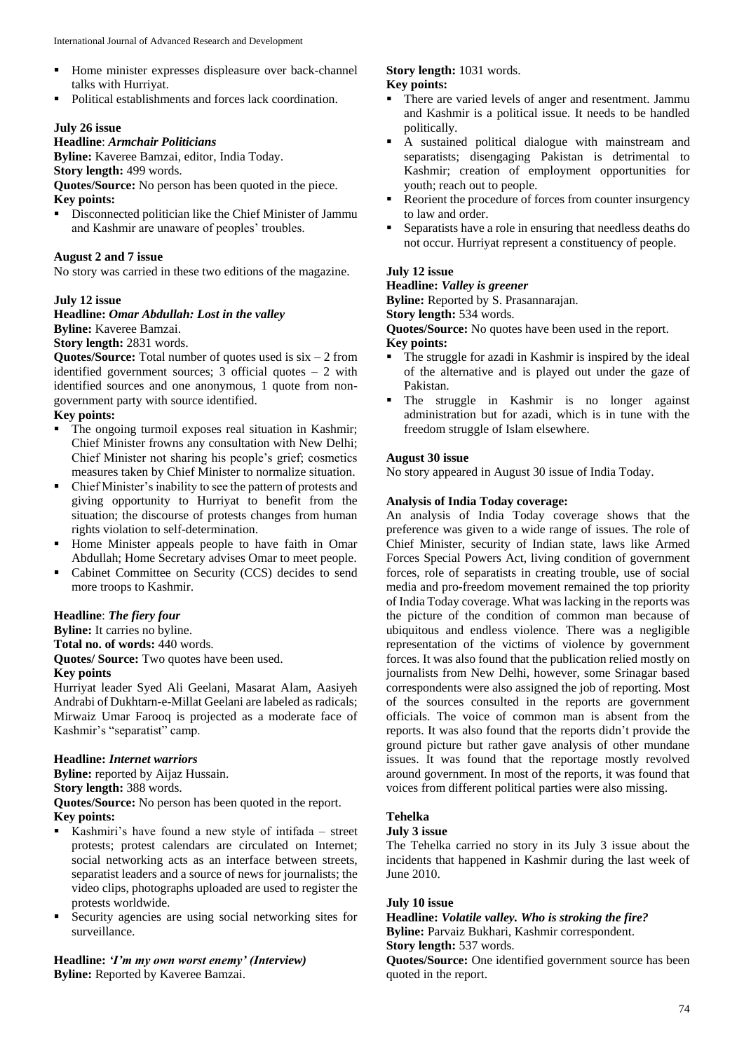- Home minister expresses displeasure over back-channel talks with Hurriyat.
- Political establishments and forces lack coordination.

#### **July 26 issue**

# **Headline**: *Armchair Politicians*

**Byline:** Kaveree Bamzai, editor, India Today.

# **Story length:** 499 words.

**Quotes/Source:** No person has been quoted in the piece. **Key points:**

- Disconnected politician like the Chief Minister of Jammu
- and Kashmir are unaware of peoples' troubles.

# **August 2 and 7 issue**

No story was carried in these two editions of the magazine.

#### **July 12 issue**

**Headline:** *Omar Abdullah: Lost in the valley* **Byline:** Kaveree Bamzai.

#### **Story length:** 2831 words.

**Quotes/Source:** Total number of quotes used is  $\text{six} - 2$  from identified government sources; 3 official quotes – 2 with identified sources and one anonymous, 1 quote from nongovernment party with source identified.

## **Key points:**

- The ongoing turmoil exposes real situation in Kashmir; Chief Minister frowns any consultation with New Delhi; Chief Minister not sharing his people's grief; cosmetics measures taken by Chief Minister to normalize situation.
- Chief Minister's inability to see the pattern of protests and giving opportunity to Hurriyat to benefit from the situation; the discourse of protests changes from human rights violation to self-determination.
- Home Minister appeals people to have faith in Omar Abdullah; Home Secretary advises Omar to meet people.
- Cabinet Committee on Security (CCS) decides to send more troops to Kashmir.

# **Headline**: *The fiery four*

**Byline:** It carries no byline.

**Total no. of words:** 440 words.

**Quotes/ Source:** Two quotes have been used.

#### **Key points**

Hurriyat leader Syed Ali Geelani, Masarat Alam, Aasiyeh Andrabi of Dukhtarn-e-Millat Geelani are labeled as radicals; Mirwaiz Umar Farooq is projected as a moderate face of Kashmir's "separatist" camp.

#### **Headline:** *Internet warriors*

**Byline:** reported by Aijaz Hussain. **Story length:** 388 words.

**Quotes/Source:** No person has been quoted in the report.

# **Key points:**

- Kashmiri's have found a new style of intifada street protests; protest calendars are circulated on Internet; social networking acts as an interface between streets, separatist leaders and a source of news for journalists; the video clips, photographs uploaded are used to register the protests worldwide.
- Security agencies are using social networking sites for surveillance.

# **Headline:** *'I'm my own worst enemy' (Interview)* **Byline:** Reported by Kaveree Bamzai.

# **Story length:** 1031 words.

#### **Key points:**

- There are varied levels of anger and resentment. Jammu and Kashmir is a political issue. It needs to be handled politically.
- A sustained political dialogue with mainstream and separatists; disengaging Pakistan is detrimental to Kashmir; creation of employment opportunities for youth; reach out to people.
- Reorient the procedure of forces from counter insurgency to law and order.
- Separatists have a role in ensuring that needless deaths do not occur. Hurriyat represent a constituency of people.

# **July 12 issue**

# **Headline:** *Valley is greener*

**Byline:** Reported by S. Prasannarajan.

**Story length:** 534 words.

**Quotes/Source:** No quotes have been used in the report.

#### **Key points:**

- The struggle for azadi in Kashmir is inspired by the ideal of the alternative and is played out under the gaze of Pakistan.
- The struggle in Kashmir is no longer against administration but for azadi, which is in tune with the freedom struggle of Islam elsewhere.

## **August 30 issue**

No story appeared in August 30 issue of India Today.

#### **Analysis of India Today coverage:**

An analysis of India Today coverage shows that the preference was given to a wide range of issues. The role of Chief Minister, security of Indian state, laws like Armed Forces Special Powers Act, living condition of government forces, role of separatists in creating trouble, use of social media and pro-freedom movement remained the top priority of India Today coverage. What was lacking in the reports was the picture of the condition of common man because of ubiquitous and endless violence. There was a negligible representation of the victims of violence by government forces. It was also found that the publication relied mostly on journalists from New Delhi, however, some Srinagar based correspondents were also assigned the job of reporting. Most of the sources consulted in the reports are government officials. The voice of common man is absent from the reports. It was also found that the reports didn't provide the ground picture but rather gave analysis of other mundane issues. It was found that the reportage mostly revolved around government. In most of the reports, it was found that voices from different political parties were also missing.

# **Tehelka**

#### **July 3 issue**

The Tehelka carried no story in its July 3 issue about the incidents that happened in Kashmir during the last week of June 2010.

#### **July 10 issue**

**Headline:** *Volatile valley. Who is stroking the fire?* **Byline:** Parvaiz Bukhari, Kashmir correspondent. **Story length:** 537 words.

**Quotes/Source:** One identified government source has been quoted in the report.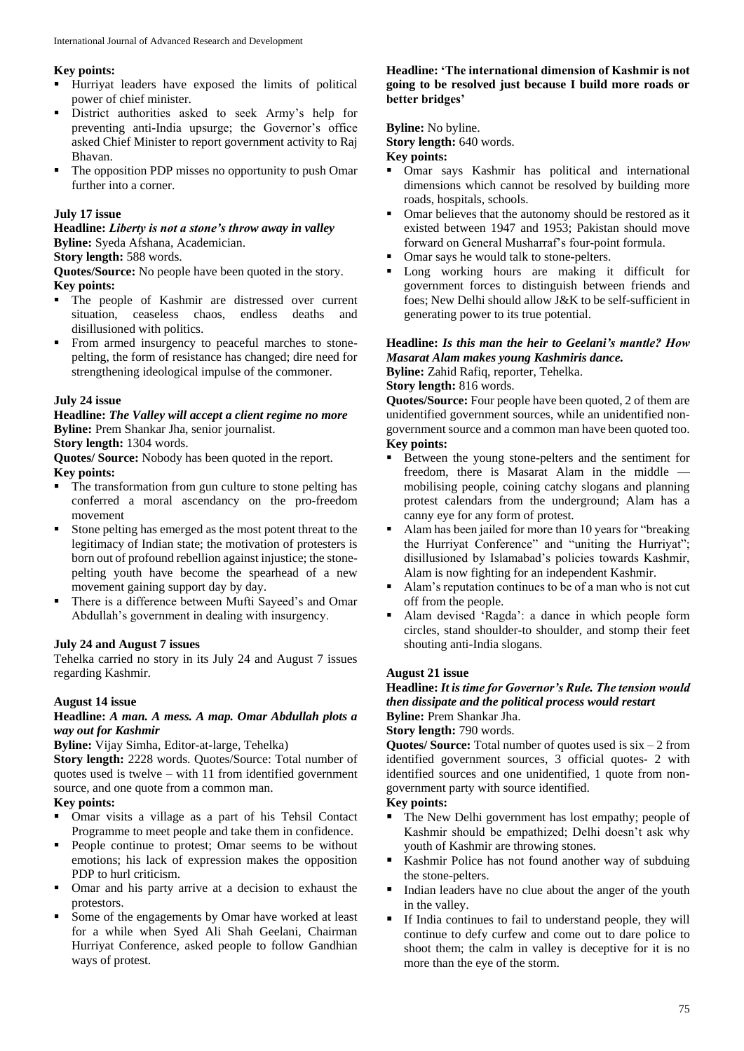#### **Key points:**

- Hurriyat leaders have exposed the limits of political power of chief minister.
- District authorities asked to seek Army's help for preventing anti-India upsurge; the Governor's office asked Chief Minister to report government activity to Raj Bhavan.
- The opposition PDP misses no opportunity to push Omar further into a corner.

#### **July 17 issue**

**Headline:** *Liberty is not a stone's throw away in valley* **Byline:** Syeda Afshana, Academician.

#### **Story length:** 588 words.

**Quotes/Source:** No people have been quoted in the story. **Key points:**

- The people of Kashmir are distressed over current situation, ceaseless chaos, endless deaths and disillusioned with politics.
- From armed insurgency to peaceful marches to stonepelting, the form of resistance has changed; dire need for strengthening ideological impulse of the commoner.

#### **July 24 issue**

#### **Headline:** *The Valley will accept a client regime no more* **Byline:** Prem Shankar Jha, senior journalist.

**Story length:** 1304 words.

**Quotes/ Source:** Nobody has been quoted in the report. **Key points:**

- The transformation from gun culture to stone pelting has conferred a moral ascendancy on the pro-freedom movement
- Stone pelting has emerged as the most potent threat to the legitimacy of Indian state; the motivation of protesters is born out of profound rebellion against injustice; the stonepelting youth have become the spearhead of a new movement gaining support day by day.
- There is a difference between Mufti Sayeed's and Omar Abdullah's government in dealing with insurgency.

#### **July 24 and August 7 issues**

Tehelka carried no story in its July 24 and August 7 issues regarding Kashmir.

## **August 14 issue**

#### **Headline:** *A man. A mess. A map. Omar Abdullah plots a way out for Kashmir*

**Byline:** Vijay Simha, Editor-at-large, Tehelka)

**Story length:** 2228 words. Quotes/Source: Total number of quotes used is twelve – with 11 from identified government source, and one quote from a common man.

## **Key points:**

- Omar visits a village as a part of his Tehsil Contact Programme to meet people and take them in confidence.
- **People continue to protest; Omar seems to be without** emotions; his lack of expression makes the opposition PDP to hurl criticism.
- Omar and his party arrive at a decision to exhaust the protestors.
- Some of the engagements by Omar have worked at least for a while when Syed Ali Shah Geelani, Chairman Hurriyat Conference, asked people to follow Gandhian ways of protest.

#### **Headline: 'The international dimension of Kashmir is not going to be resolved just because I build more roads or better bridges'**

#### **Byline:** No byline.

**Story length:** 640 words.

#### **Key points:**

- Omar says Kashmir has political and international dimensions which cannot be resolved by building more roads, hospitals, schools.
- Omar believes that the autonomy should be restored as it existed between 1947 and 1953; Pakistan should move forward on General Musharraf's four-point formula.
- Omar says he would talk to stone-pelters.
- Long working hours are making it difficult for government forces to distinguish between friends and foes; New Delhi should allow J&K to be self-sufficient in generating power to its true potential.

## **Headline:** *Is this man the heir to Geelani's mantle? How Masarat Alam makes young Kashmiris dance.*

**Byline:** Zahid Rafiq, reporter, Tehelka.

#### **Story length:** 816 words.

**Quotes/Source:** Four people have been quoted, 2 of them are unidentified government sources, while an unidentified nongovernment source and a common man have been quoted too. **Key points:**

- Between the young stone-pelters and the sentiment for freedom, there is Masarat Alam in the middle mobilising people, coining catchy slogans and planning protest calendars from the underground; Alam has a canny eye for any form of protest.
- Alam has been jailed for more than 10 years for "breaking the Hurriyat Conference" and "uniting the Hurriyat"; disillusioned by Islamabad's policies towards Kashmir, Alam is now fighting for an independent Kashmir.
- Alam's reputation continues to be of a man who is not cut off from the people.
- Alam devised 'Ragda': a dance in which people form circles, stand shoulder-to shoulder, and stomp their feet shouting anti-India slogans.

#### **August 21 issue**

## **Headline:** *It is time for Governor's Rule. The tension would then dissipate and the political process would restart* **Byline:** Prem Shankar Jha.

#### **Story length:** 790 words.

**Quotes/ Source:** Total number of quotes used is six – 2 from identified government sources, 3 official quotes- 2 with identified sources and one unidentified, 1 quote from nongovernment party with source identified.

#### **Key points:**

- The New Delhi government has lost empathy; people of Kashmir should be empathized; Delhi doesn't ask why youth of Kashmir are throwing stones.
- Kashmir Police has not found another way of subduing the stone-pelters.
- Indian leaders have no clue about the anger of the youth in the valley.
- If India continues to fail to understand people, they will continue to defy curfew and come out to dare police to shoot them; the calm in valley is deceptive for it is no more than the eye of the storm.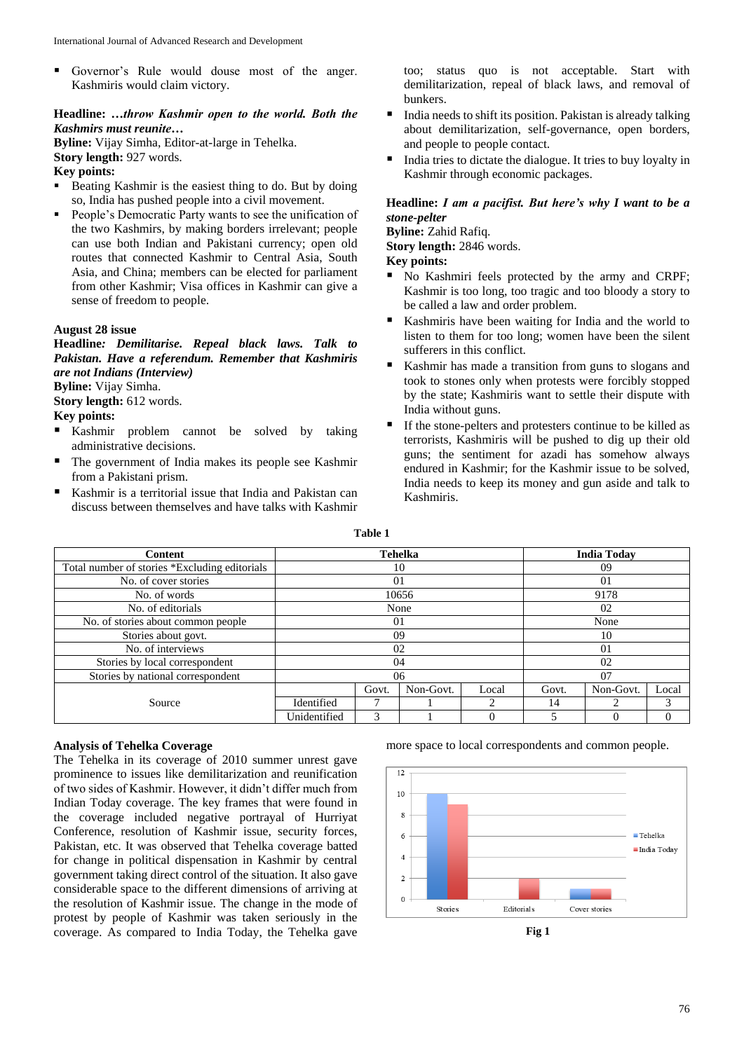Governor's Rule would douse most of the anger. Kashmiris would claim victory.

# **Headline:** *…throw Kashmir open to the world. Both the Kashmirs must reunite…*

**Byline:** Vijay Simha, Editor-at-large in Tehelka.

**Story length:** 927 words.

# **Key points:**

- Beating Kashmir is the easiest thing to do. But by doing so, India has pushed people into a civil movement.
- People's Democratic Party wants to see the unification of the two Kashmirs, by making borders irrelevant; people can use both Indian and Pakistani currency; open old routes that connected Kashmir to Central Asia, South Asia, and China; members can be elected for parliament from other Kashmir; Visa offices in Kashmir can give a sense of freedom to people.

#### **August 28 issue**

**Headline***: Demilitarise. Repeal black laws. Talk to Pakistan. Have a referendum. Remember that Kashmiris are not Indians (Interview)* **Byline:** Vijay Simha.

**Story length:** 612 words.

## **Key points:**

- Kashmir problem cannot be solved by taking administrative decisions.
- The government of India makes its people see Kashmir from a Pakistani prism.
- Kashmir is a territorial issue that India and Pakistan can discuss between themselves and have talks with Kashmir

too; status quo is not acceptable. Start with demilitarization, repeal of black laws, and removal of bunkers.

- India needs to shift its position. Pakistan is already talking about demilitarization, self-governance, open borders, and people to people contact.
- India tries to dictate the dialogue. It tries to buy loyalty in Kashmir through economic packages.

#### **Headline:** *I am a pacifist. But here's why I want to be a stone-pelter*

**Byline:** Zahid Rafiq.

**Story length:** 2846 words.

**Key points:**

- No Kashmiri feels protected by the army and CRPF; Kashmir is too long, too tragic and too bloody a story to be called a law and order problem.
- Kashmiris have been waiting for India and the world to listen to them for too long; women have been the silent sufferers in this conflict.
- Kashmir has made a transition from guns to slogans and took to stones only when protests were forcibly stopped by the state; Kashmiris want to settle their dispute with India without guns.
- If the stone-pelters and protesters continue to be killed as terrorists, Kashmiris will be pushed to dig up their old guns; the sentiment for azadi has somehow always endured in Kashmir; for the Kashmir issue to be solved, India needs to keep its money and gun aside and talk to Kashmiris.

**Table 1**

| <b>Content</b>                                | Tehelka      |       |           |       | <b>India Today</b> |           |       |
|-----------------------------------------------|--------------|-------|-----------|-------|--------------------|-----------|-------|
| Total number of stories *Excluding editorials | 10           |       |           |       | 09                 |           |       |
| No. of cover stories                          | 01           |       |           |       | 01                 |           |       |
| No. of words                                  | 10656        |       |           |       | 9178               |           |       |
| No. of editorials                             | None         |       |           |       | 02                 |           |       |
| No. of stories about common people            | 01           |       |           |       | None               |           |       |
| Stories about govt.                           | 09           |       |           |       | 10                 |           |       |
| No. of interviews                             | 02           |       |           |       | 01                 |           |       |
| Stories by local correspondent                | 04           |       |           |       | 02                 |           |       |
| Stories by national correspondent             | 06           |       |           |       | 07                 |           |       |
|                                               |              | Govt. | Non-Govt. | Local | Govt.              | Non-Govt. | Local |
| Source                                        | Identified   |       |           |       | 14                 |           |       |
|                                               | Unidentified | 3     |           |       |                    |           |       |

# **Analysis of Tehelka Coverage**

The Tehelka in its coverage of 2010 summer unrest gave prominence to issues like demilitarization and reunification of two sides of Kashmir. However, it didn't differ much from Indian Today coverage. The key frames that were found in the coverage included negative portrayal of Hurriyat Conference, resolution of Kashmir issue, security forces, Pakistan, etc. It was observed that Tehelka coverage batted for change in political dispensation in Kashmir by central government taking direct control of the situation. It also gave considerable space to the different dimensions of arriving at the resolution of Kashmir issue. The change in the mode of protest by people of Kashmir was taken seriously in the coverage. As compared to India Today, the Tehelka gave more space to local correspondents and common people.

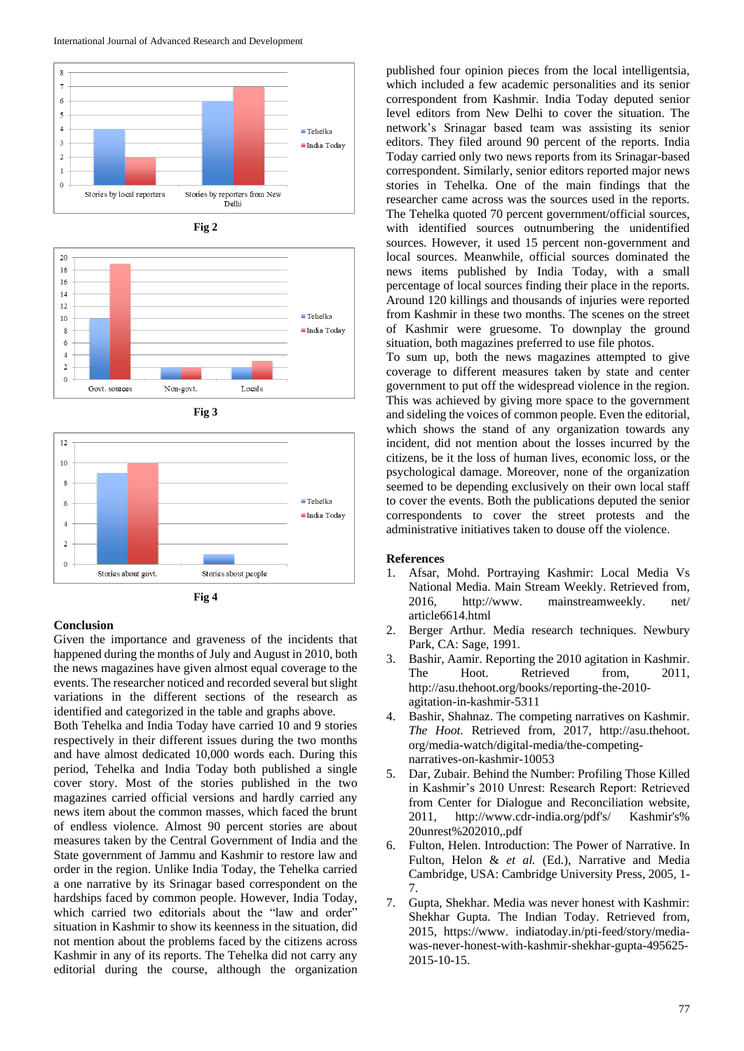











#### **Conclusion**

Given the importance and graveness of the incidents that happened during the months of July and August in 2010, both the news magazines have given almost equal coverage to the events. The researcher noticed and recorded several but slight variations in the different sections of the research as identified and categorized in the table and graphs above.

Both Tehelka and India Today have carried 10 and 9 stories respectively in their different issues during the two months and have almost dedicated 10,000 words each. During this period, Tehelka and India Today both published a single cover story. Most of the stories published in the two magazines carried official versions and hardly carried any news item about the common masses, which faced the brunt of endless violence. Almost 90 percent stories are about measures taken by the Central Government of India and the State government of Jammu and Kashmir to restore law and order in the region. Unlike India Today, the Tehelka carried a one narrative by its Srinagar based correspondent on the hardships faced by common people. However, India Today, which carried two editorials about the "law and order" situation in Kashmir to show its keenness in the situation, did not mention about the problems faced by the citizens across Kashmir in any of its reports. The Tehelka did not carry any editorial during the course, although the organization

published four opinion pieces from the local intelligentsia, which included a few academic personalities and its senior correspondent from Kashmir. India Today deputed senior level editors from New Delhi to cover the situation. The network's Srinagar based team was assisting its senior editors. They filed around 90 percent of the reports. India Today carried only two news reports from its Srinagar-based correspondent. Similarly, senior editors reported major news stories in Tehelka. One of the main findings that the researcher came across was the sources used in the reports. The Tehelka quoted 70 percent government/official sources, with identified sources outnumbering the unidentified sources. However, it used 15 percent non-government and local sources. Meanwhile, official sources dominated the news items published by India Today, with a small percentage of local sources finding their place in the reports. Around 120 killings and thousands of injuries were reported from Kashmir in these two months. The scenes on the street of Kashmir were gruesome. To downplay the ground situation, both magazines preferred to use file photos.

To sum up, both the news magazines attempted to give coverage to different measures taken by state and center government to put off the widespread violence in the region. This was achieved by giving more space to the government and sideling the voices of common people. Even the editorial, which shows the stand of any organization towards any incident, did not mention about the losses incurred by the citizens, be it the loss of human lives, economic loss, or the psychological damage. Moreover, none of the organization seemed to be depending exclusively on their own local staff to cover the events. Both the publications deputed the senior correspondents to cover the street protests and the administrative initiatives taken to douse off the violence.

#### **References**

- 1. Afsar, Mohd. Portraying Kashmir: Local Media Vs National Media. Main Stream Weekly. Retrieved from, 2016, http://www. mainstreamweekly. net/ article6614.html
- 2. Berger Arthur. Media research techniques. Newbury Park, CA: Sage, 1991.
- 3. Bashir, Aamir. Reporting the 2010 agitation in Kashmir. The Hoot. Retrieved from, 2011, http://asu.thehoot.org/books/reporting-the-2010 agitation-in-kashmir-5311
- 4. Bashir, Shahnaz. The competing narratives on Kashmir. *The Hoot.* Retrieved from, 2017, http://asu.thehoot. org/media-watch/digital-media/the-competingnarratives-on-kashmir-10053
- 5. Dar, Zubair. Behind the Number: Profiling Those Killed in Kashmir's 2010 Unrest: Research Report: Retrieved from Center for Dialogue and Reconciliation website, 2011, http://www.cdr-india.org/pdf's/ Kashmir's% 20unrest%202010,.pdf
- 6. Fulton, Helen. Introduction: The Power of Narrative. In Fulton, Helon & *et al.* (Ed.), Narrative and Media Cambridge, USA: Cambridge University Press, 2005, 1- 7.
- 7. Gupta, Shekhar. Media was never honest with Kashmir: Shekhar Gupta. The Indian Today. Retrieved from, 2015, https://www. indiatoday.in/pti-feed/story/mediawas-never-honest-with-kashmir-shekhar-gupta-495625- 2015-10-15.